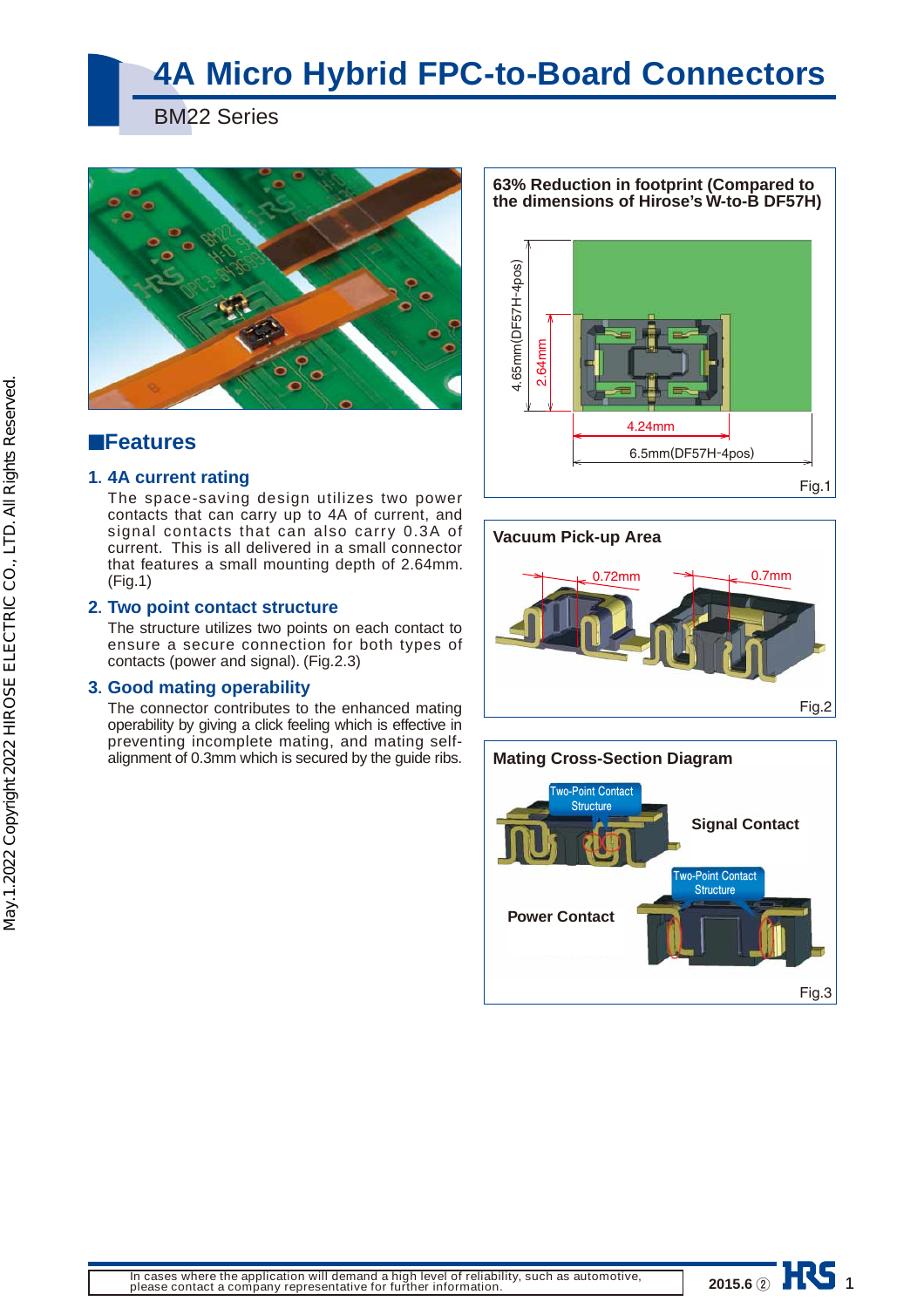# **4A Micro Hybrid FPC-to-Board Connectors**

BM22 Series



### ■**Features**

### **1. 4A current rating**

The space-saving design utilizes two power contacts that can carry up to 4A of current, and signal contacts that can also carry 0.3A of current. This is all delivered in a small connector that features a small mounting depth of 2.64mm. (Fig.1)

### **2. Two point contact structure**

The structure utilizes two points on each contact to ensure a secure connection for both types of contacts (power and signal). (Fig.2.3)

### **3. Good mating operability**

The connector contributes to the enhanced mating operability by giving a click feeling which is effective in preventing incomplete mating, and mating selfalignment of 0.3mm which is secured by the guide ribs.

**63% Reduction in footprint (Compared to the dimensions of Hirose's W-to-B DF57H)**







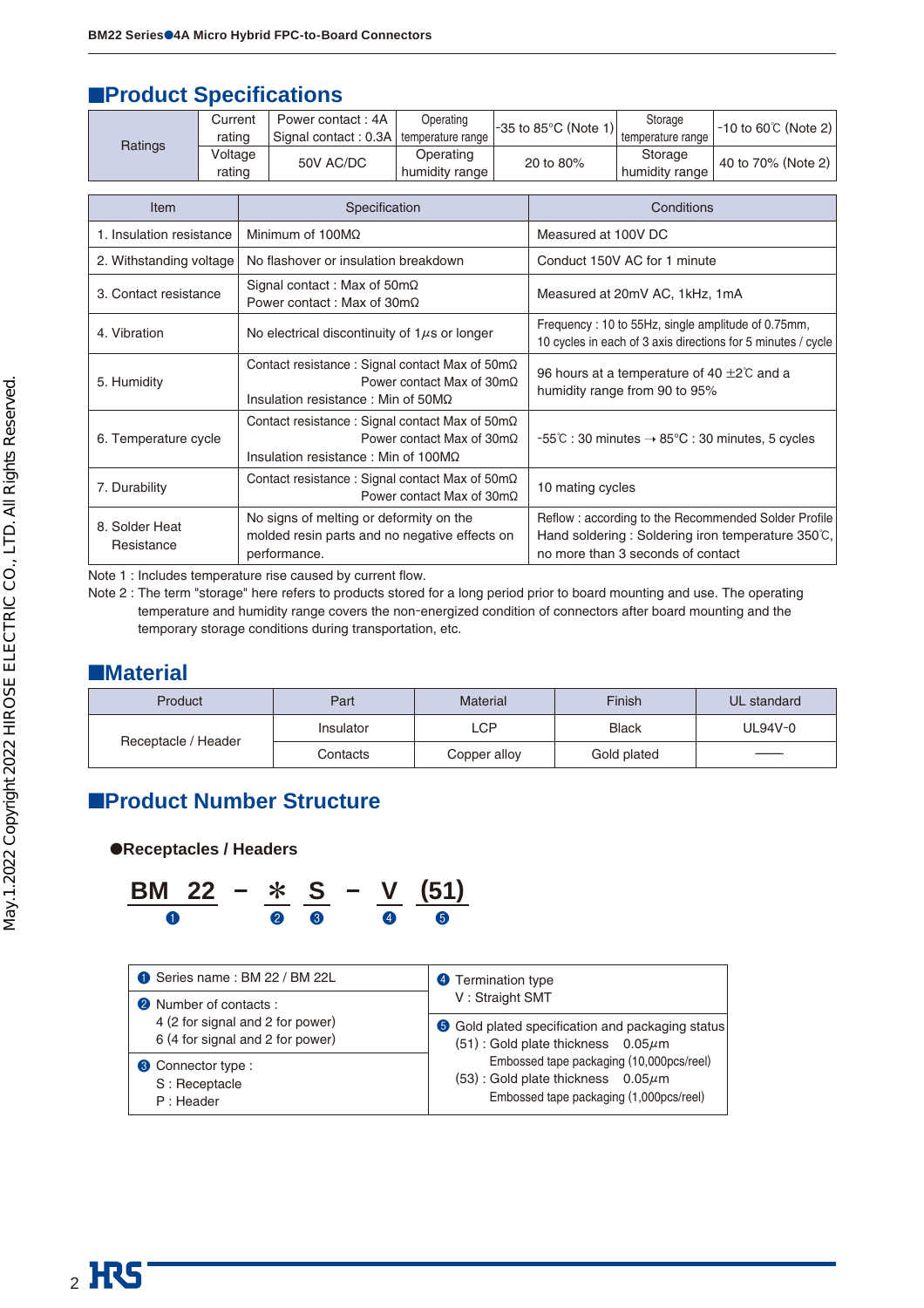### ■**Product Specifications**

|                              | Current<br>rating            |                                                                                                                                     | Power contact: 4A<br>Signal contact: 0.3A | Operating<br>temperature range |                                                                                                                    | -35 to 85°C (Note 1)                                                                                                                          | Storage<br>temperature range | $-10$ to 60°C (Note 2) |  |  |
|------------------------------|------------------------------|-------------------------------------------------------------------------------------------------------------------------------------|-------------------------------------------|--------------------------------|--------------------------------------------------------------------------------------------------------------------|-----------------------------------------------------------------------------------------------------------------------------------------------|------------------------------|------------------------|--|--|
|                              | Ratings<br>Voltage<br>rating |                                                                                                                                     | 50V AC/DC                                 | Operating<br>humidity range    | 20 to 80%                                                                                                          |                                                                                                                                               | Storage<br>humidity range    | 40 to 70% (Note 2)     |  |  |
|                              |                              |                                                                                                                                     |                                           |                                |                                                                                                                    |                                                                                                                                               |                              |                        |  |  |
| Item                         |                              | Specification                                                                                                                       |                                           |                                | Conditions                                                                                                         |                                                                                                                                               |                              |                        |  |  |
| 1. Insulation resistance     |                              | Minimum of $100M\Omega$                                                                                                             |                                           |                                |                                                                                                                    | Measured at 100V DC                                                                                                                           |                              |                        |  |  |
| 2. Withstanding voltage      |                              | No flashover or insulation breakdown                                                                                                |                                           |                                | Conduct 150V AC for 1 minute                                                                                       |                                                                                                                                               |                              |                        |  |  |
| 3. Contact resistance        |                              | Signal contact: Max of $50 \text{m}\Omega$<br>Power contact: Max of $30m\Omega$                                                     |                                           |                                | Measured at 20mV AC, 1kHz, 1mA                                                                                     |                                                                                                                                               |                              |                        |  |  |
| 4. Vibration                 |                              | No electrical discontinuity of $1\mu s$ or longer                                                                                   |                                           |                                | Frequency: 10 to 55Hz, single amplitude of 0.75mm,<br>10 cycles in each of 3 axis directions for 5 minutes / cycle |                                                                                                                                               |                              |                        |  |  |
| 5. Humidity                  |                              | Contact resistance: Signal contact Max of 50mΩ<br>Power contact Max of $30m\Omega$<br>Insulation resistance: Min of $50M\Omega$     |                                           |                                | 96 hours at a temperature of 40 $\pm$ 2°C and a<br>humidity range from 90 to 95%                                   |                                                                                                                                               |                              |                        |  |  |
| 6. Temperature cycle         |                              | Contact resistance : Signal contact Max of 50mΩ<br>Power contact Max of $30m\Omega$<br>Insulation resistance : Min of 100M $\Omega$ |                                           |                                | $-55^{\circ}$ C: 30 minutes $\rightarrow$ 85 $^{\circ}$ C: 30 minutes, 5 cycles                                    |                                                                                                                                               |                              |                        |  |  |
| 7. Durability                |                              | Contact resistance : Signal contact Max of 50mΩ<br>Power contact Max of $30m\Omega$                                                 |                                           |                                | 10 mating cycles                                                                                                   |                                                                                                                                               |                              |                        |  |  |
| 8. Solder Heat<br>Resistance |                              | No signs of melting or deformity on the<br>molded resin parts and no negative effects on<br>performance.                            |                                           |                                |                                                                                                                    | Reflow: according to the Recommended Solder Profile<br>Hand soldering: Soldering iron temperature 350°C,<br>no more than 3 seconds of contact |                              |                        |  |  |

Note 1 : Includes temperature rise caused by current flow.

Note 2 : The term "storage" here refers to products stored for a long period prior to board mounting and use. The operating temperature and humidity range covers the non-energized condition of connectors after board mounting and the temporary storage conditions during transportation, etc.

### ■**Material**

| Product             | Part      | Material     | Finish       | UL standard                                                                                                                                                                                                                                                                                                                                                                                                                                                                          |  |
|---------------------|-----------|--------------|--------------|--------------------------------------------------------------------------------------------------------------------------------------------------------------------------------------------------------------------------------------------------------------------------------------------------------------------------------------------------------------------------------------------------------------------------------------------------------------------------------------|--|
|                     | Insulator | LCP.         | <b>Black</b> | UL94V-0                                                                                                                                                                                                                                                                                                                                                                                                                                                                              |  |
| Receptacle / Header | Contacts  | Copper alloy | Gold plated  | $\begin{tabular}{cccccc} \multicolumn{2}{c}{} & \multicolumn{2}{c}{} & \multicolumn{2}{c}{} & \multicolumn{2}{c}{} & \multicolumn{2}{c}{} & \multicolumn{2}{c}{} & \multicolumn{2}{c}{} & \multicolumn{2}{c}{} & \multicolumn{2}{c}{} & \multicolumn{2}{c}{} & \multicolumn{2}{c}{} & \multicolumn{2}{c}{} & \multicolumn{2}{c}{} & \multicolumn{2}{c}{} & \multicolumn{2}{c}{} & \multicolumn{2}{c}{} & \multicolumn{2}{c}{} & \multicolumn{2}{c}{} & \multicolumn{2}{c}{} & \mult$ |  |

### ■**Product Number Structure**

### ●**Receptacles / Headers**

$$
\frac{\text{BM}}{\text{O}} 22 - \frac{\text{K}}{\text{O}} \frac{\text{S}}{\text{O}} - \frac{\text{V}}{\text{O}} \frac{(51)}{\text{O}}
$$

| Series name: BM 22 / BM 22L      | 4 Termination type                                      |  |  |  |  |  |
|----------------------------------|---------------------------------------------------------|--|--|--|--|--|
| 2 Number of contacts:            | V: Straight SMT                                         |  |  |  |  |  |
| 4 (2 for signal and 2 for power) | <b>6</b> Gold plated specification and packaging status |  |  |  |  |  |
| 6 (4 for signal and 2 for power) | $(51)$ : Gold plate thickness 0.05 $\mu$ m              |  |  |  |  |  |
| <b>6</b> Connector type :        | Embossed tape packaging (10,000pcs/reel)                |  |  |  |  |  |
| S: Receptacle                    | $(53)$ : Gold plate thickness 0.05 $\mu$ m              |  |  |  |  |  |
| P: Header                        | Embossed tape packaging (1,000pcs/reel)                 |  |  |  |  |  |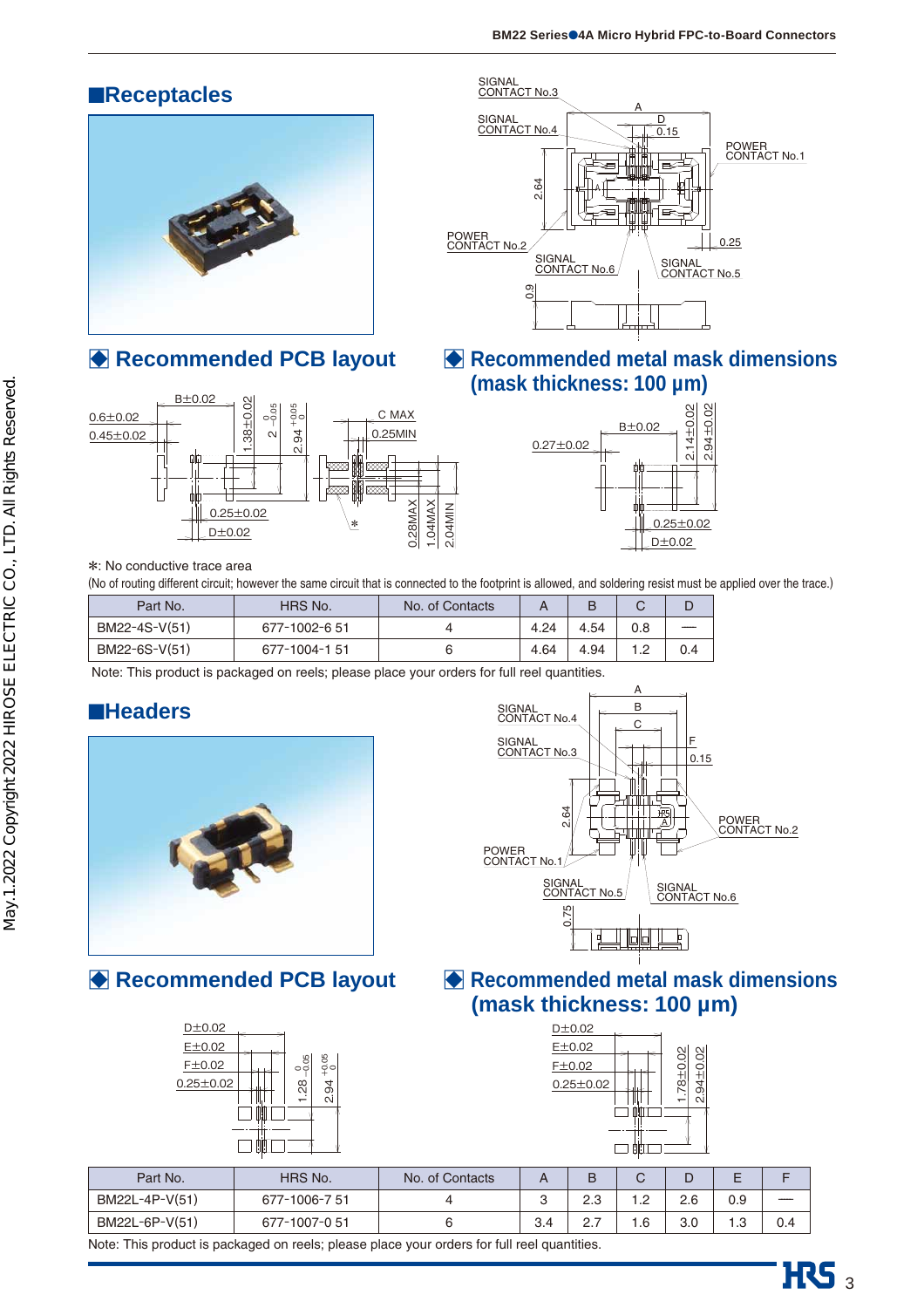### ■**Receptacles**



□ **Recommended PCB layout**





□ **Recommended metal mask dimensions (mask thickness: 100 µm)** 



### \*: No conductive trace area

(No of routing different circuit; however the same circuit that is connected to the footprint is allowed, and soldering resist must be applied over the trace.)

| Part No.      | HRS No.       | No. of Contacts |      |      |     |     |
|---------------|---------------|-----------------|------|------|-----|-----|
| BM22-4S-V(51) | 677-1002-6 51 |                 | 4.24 | 4.54 | 0.8 |     |
| BM22-6S-V(51) | 677-1004-1 51 |                 | 4.64 | 4.94 | 1.2 | 0.4 |

Note: This product is packaged on reels; please place your orders for full reel quantities.

### ■**Headers**



#### A B SIGNAL CONTACT No.4 C SIGNAL F CONTACT No.3  $0.15$ 阀 2.64 POWER CONTACT No.2 A POWER CONTACT No.1 SIGNAL<br><u>CONTACT No.5</u> SIGNAL CONTACT No.6 0.75 <u>Tidd Lei</u>

### □ **Recommended PCB layout**

| $D\pm0.02$      |                                |
|-----------------|--------------------------------|
| $E\pm0.02$      |                                |
| F±0.02          | ခင္ပါ                          |
| $0.25 \pm 0.02$ | $2.94 + 0.05$<br>$\frac{8}{2}$ |
|                 |                                |

### □ **Recommended metal mask dimensions (mask thickness: 100 µm)**



| Part No.       | HRS No.      | No. of Contacts |     | В   | ີ                        |     |      |     |
|----------------|--------------|-----------------|-----|-----|--------------------------|-----|------|-----|
| BM22L-4P-V(51) | 677-1006-751 |                 |     | 2.3 | $\overline{\phantom{a}}$ | 2.6 | 0.9  |     |
| BM22L-6P-V(51) | 677-1007-051 |                 | 3.4 |     | .6                       | 3.0 | ں. ا | 0.4 |

Note: This product is packaged on reels; please place your orders for full reel quantities.

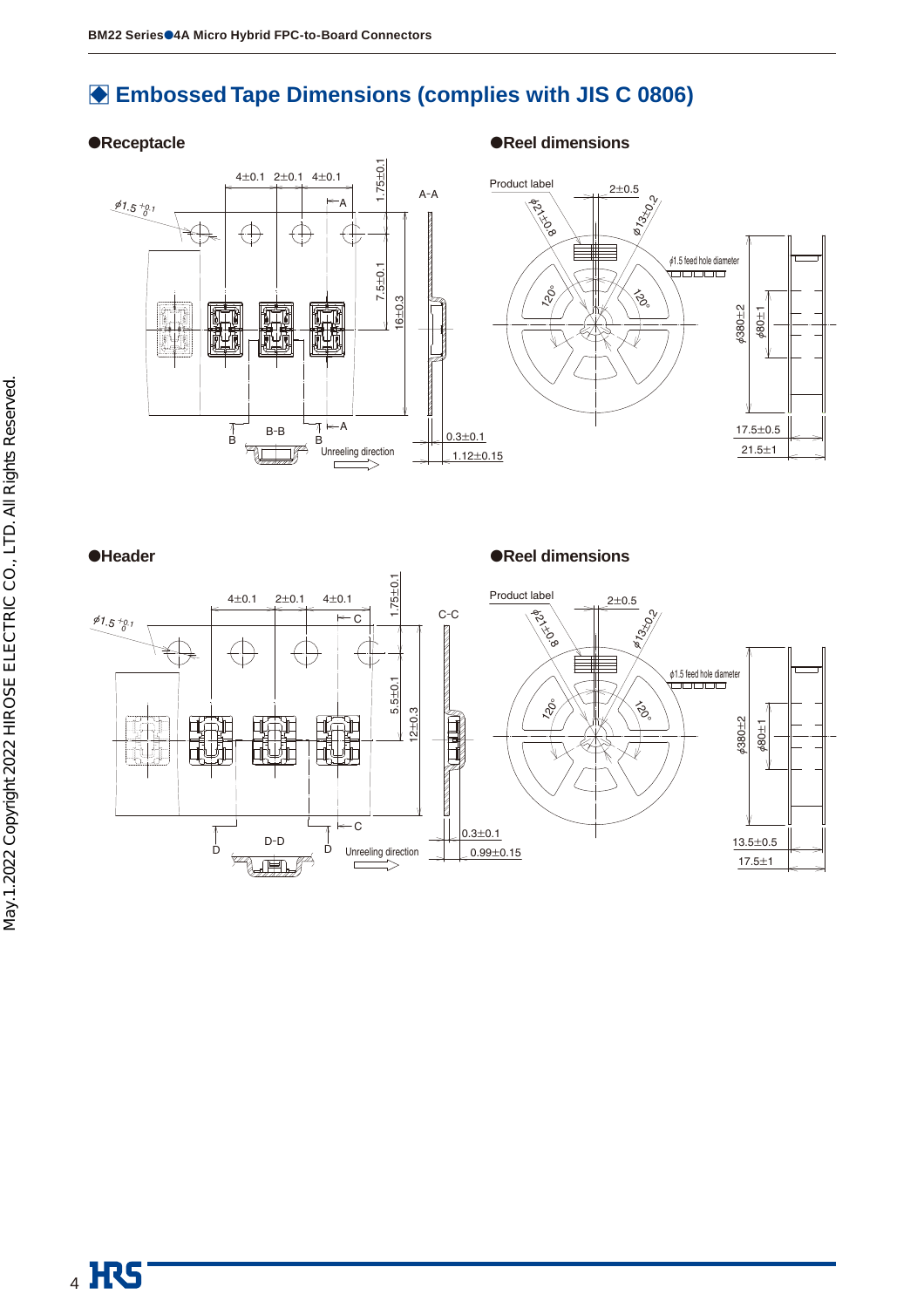### □ **Embossed Tape Dimensions (complies with JIS C 0806)**





●**Header** ●**Reel dimensions** 

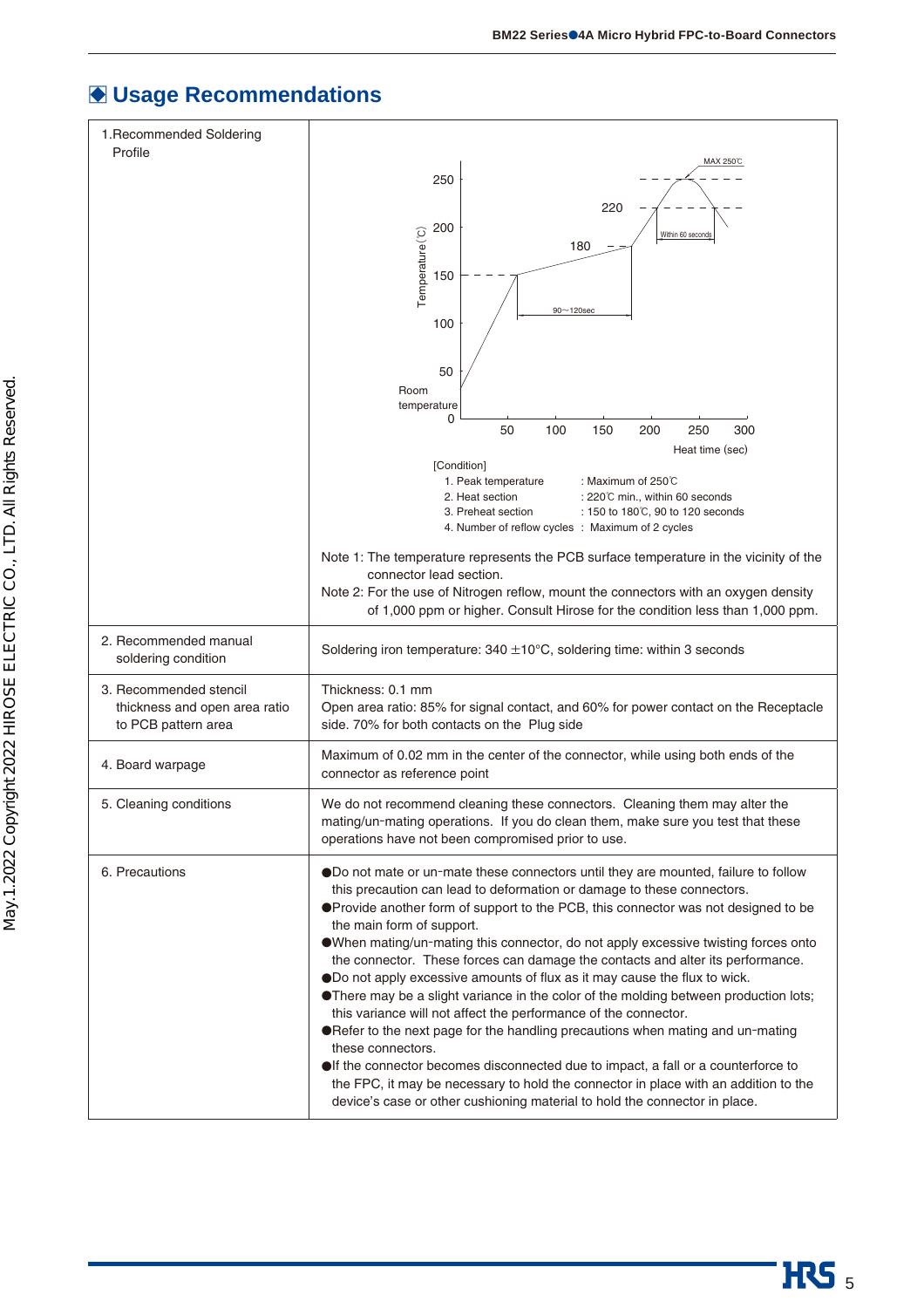## □ **Usage Recommendations**

| 1. Recommended Soldering<br>Profile                                            |                                                                                                                                                                                                                                                                                                                                                                                                                                                                                                                                                                                                                                                                                                                                                                                                                                                                                             |
|--------------------------------------------------------------------------------|---------------------------------------------------------------------------------------------------------------------------------------------------------------------------------------------------------------------------------------------------------------------------------------------------------------------------------------------------------------------------------------------------------------------------------------------------------------------------------------------------------------------------------------------------------------------------------------------------------------------------------------------------------------------------------------------------------------------------------------------------------------------------------------------------------------------------------------------------------------------------------------------|
|                                                                                | MAX 250℃<br>250                                                                                                                                                                                                                                                                                                                                                                                                                                                                                                                                                                                                                                                                                                                                                                                                                                                                             |
|                                                                                | 220                                                                                                                                                                                                                                                                                                                                                                                                                                                                                                                                                                                                                                                                                                                                                                                                                                                                                         |
|                                                                                | 200<br>Within 60 seconds                                                                                                                                                                                                                                                                                                                                                                                                                                                                                                                                                                                                                                                                                                                                                                                                                                                                    |
|                                                                                | 180                                                                                                                                                                                                                                                                                                                                                                                                                                                                                                                                                                                                                                                                                                                                                                                                                                                                                         |
|                                                                                | Temperature <sup>(°C)</sup><br>150                                                                                                                                                                                                                                                                                                                                                                                                                                                                                                                                                                                                                                                                                                                                                                                                                                                          |
|                                                                                | $90 - 120$ sec<br>100                                                                                                                                                                                                                                                                                                                                                                                                                                                                                                                                                                                                                                                                                                                                                                                                                                                                       |
|                                                                                |                                                                                                                                                                                                                                                                                                                                                                                                                                                                                                                                                                                                                                                                                                                                                                                                                                                                                             |
|                                                                                | 50                                                                                                                                                                                                                                                                                                                                                                                                                                                                                                                                                                                                                                                                                                                                                                                                                                                                                          |
|                                                                                | Room<br>temperature                                                                                                                                                                                                                                                                                                                                                                                                                                                                                                                                                                                                                                                                                                                                                                                                                                                                         |
|                                                                                | 0<br>50<br>100<br>150<br>200<br>250<br>300                                                                                                                                                                                                                                                                                                                                                                                                                                                                                                                                                                                                                                                                                                                                                                                                                                                  |
|                                                                                | Heat time (sec)<br>[Condition]                                                                                                                                                                                                                                                                                                                                                                                                                                                                                                                                                                                                                                                                                                                                                                                                                                                              |
|                                                                                | 1. Peak temperature<br>: Maximum of $250^{\circ}$ C<br>2. Heat section<br>: 220℃ min., within 60 seconds                                                                                                                                                                                                                                                                                                                                                                                                                                                                                                                                                                                                                                                                                                                                                                                    |
|                                                                                | : 150 to 180℃, 90 to 120 seconds<br>3. Preheat section<br>4. Number of reflow cycles : Maximum of 2 cycles                                                                                                                                                                                                                                                                                                                                                                                                                                                                                                                                                                                                                                                                                                                                                                                  |
|                                                                                | Note 1: The temperature represents the PCB surface temperature in the vicinity of the                                                                                                                                                                                                                                                                                                                                                                                                                                                                                                                                                                                                                                                                                                                                                                                                       |
|                                                                                | connector lead section.<br>Note 2: For the use of Nitrogen reflow, mount the connectors with an oxygen density                                                                                                                                                                                                                                                                                                                                                                                                                                                                                                                                                                                                                                                                                                                                                                              |
|                                                                                | of 1,000 ppm or higher. Consult Hirose for the condition less than 1,000 ppm.                                                                                                                                                                                                                                                                                                                                                                                                                                                                                                                                                                                                                                                                                                                                                                                                               |
| 2. Recommended manual<br>soldering condition                                   | Soldering iron temperature: $340 \pm 10^{\circ}$ C, soldering time: within 3 seconds                                                                                                                                                                                                                                                                                                                                                                                                                                                                                                                                                                                                                                                                                                                                                                                                        |
| 3. Recommended stencil<br>thickness and open area ratio<br>to PCB pattern area | Thickness: 0.1 mm<br>Open area ratio: 85% for signal contact, and 60% for power contact on the Receptacle<br>side. 70% for both contacts on the Plug side                                                                                                                                                                                                                                                                                                                                                                                                                                                                                                                                                                                                                                                                                                                                   |
| 4. Board warpage                                                               | Maximum of 0.02 mm in the center of the connector, while using both ends of the<br>connector as reference point                                                                                                                                                                                                                                                                                                                                                                                                                                                                                                                                                                                                                                                                                                                                                                             |
| 5. Cleaning conditions                                                         | We do not recommend cleaning these connectors. Cleaning them may alter the<br>mating/un-mating operations. If you do clean them, make sure you test that these<br>operations have not been compromised prior to use.                                                                                                                                                                                                                                                                                                                                                                                                                                                                                                                                                                                                                                                                        |
| 6. Precautions                                                                 | ODo not mate or un-mate these connectors until they are mounted, failure to follow<br>this precaution can lead to deformation or damage to these connectors.<br>●Provide another form of support to the PCB, this connector was not designed to be<br>the main form of support.<br>OWhen mating/un-mating this connector, do not apply excessive twisting forces onto<br>the connector. These forces can damage the contacts and alter its performance.<br>ODo not apply excessive amounts of flux as it may cause the flux to wick.<br>•There may be a slight variance in the color of the molding between production lots;<br>this variance will not affect the performance of the connector.<br>● Refer to the next page for the handling precautions when mating and un-mating<br>these connectors.<br>If the connector becomes disconnected due to impact, a fall or a counterforce to |
|                                                                                | the FPC, it may be necessary to hold the connector in place with an addition to the<br>device's case or other cushioning material to hold the connector in place.                                                                                                                                                                                                                                                                                                                                                                                                                                                                                                                                                                                                                                                                                                                           |

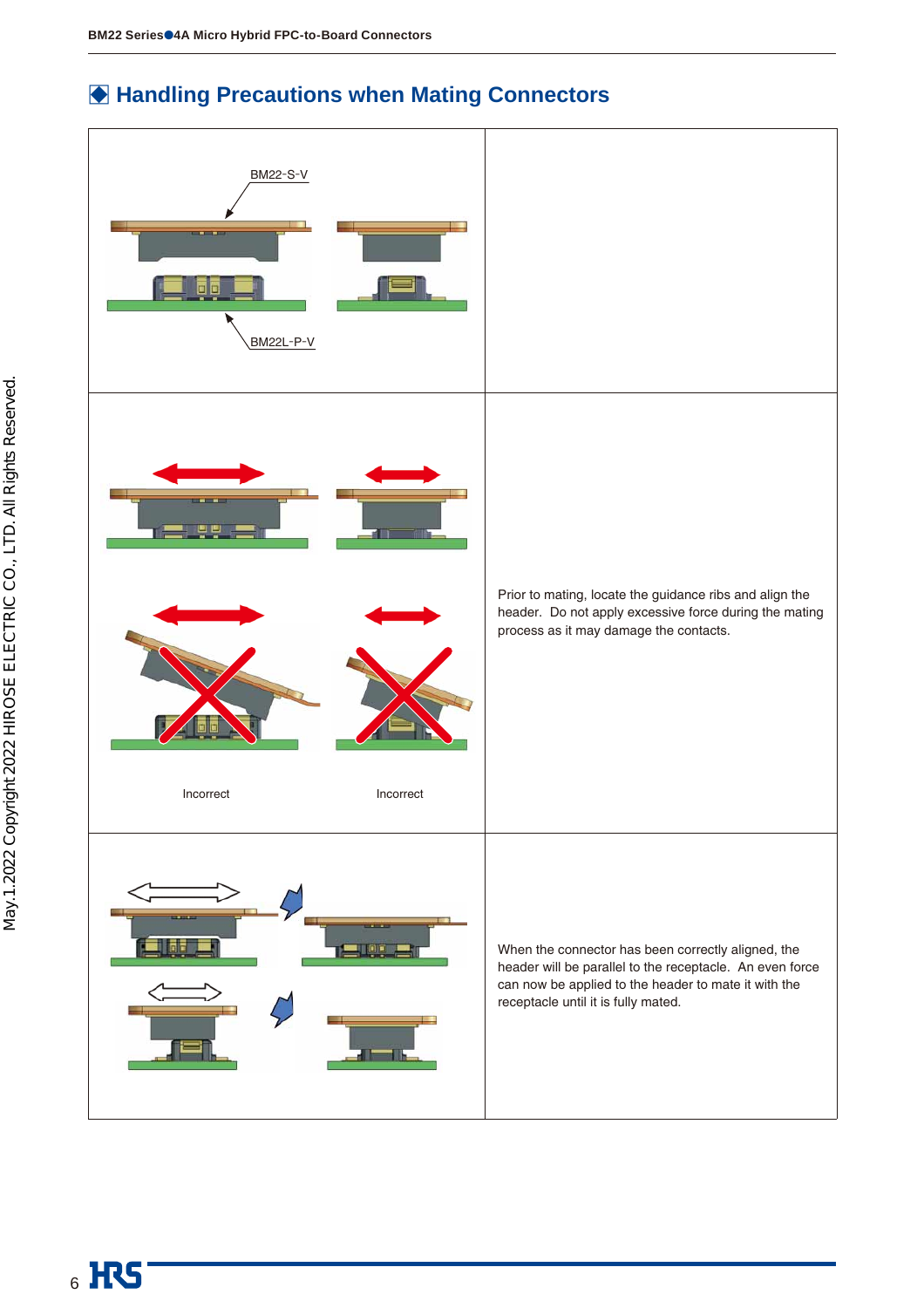### **● Handling Precautions when Mating Connectors**

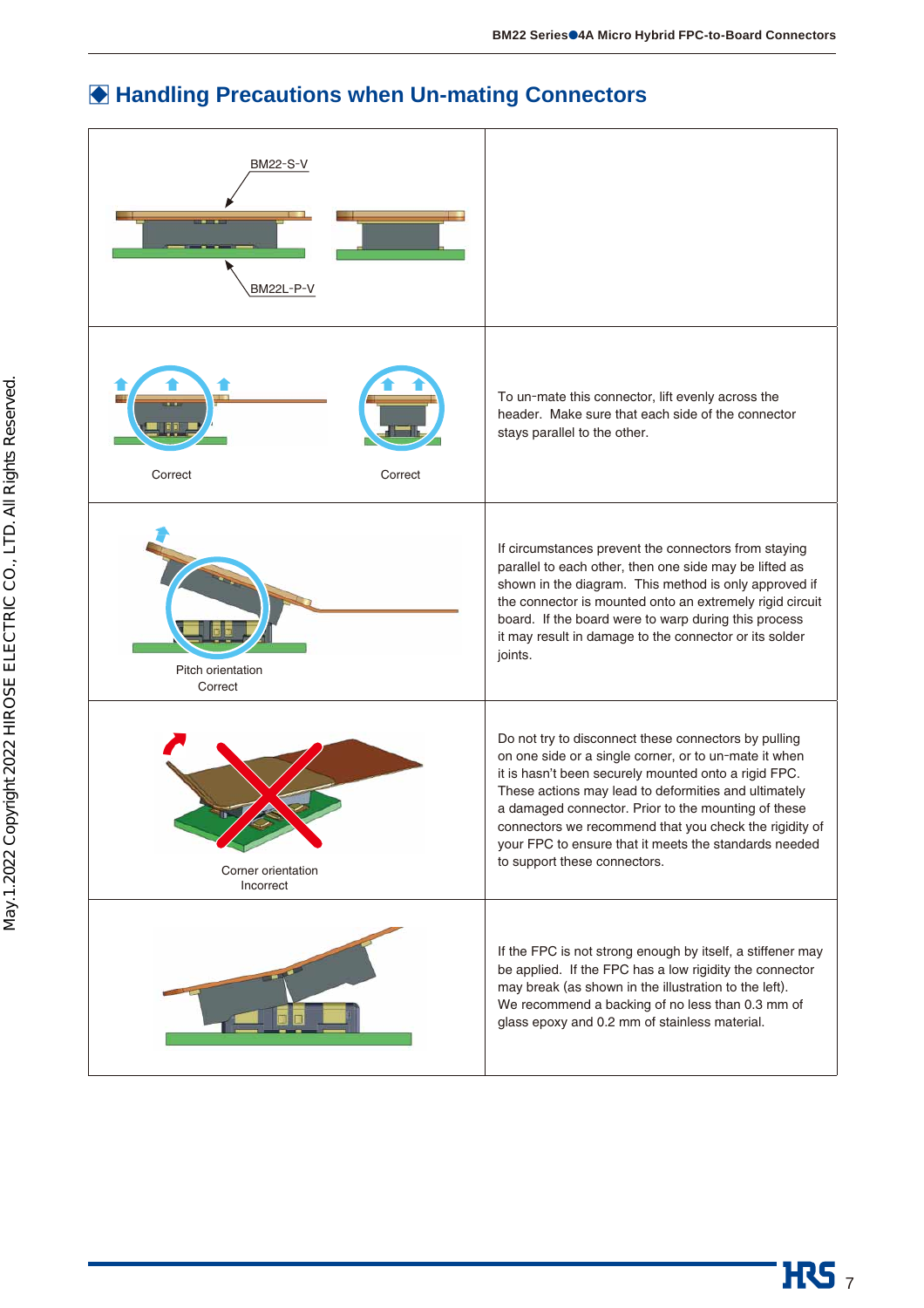## **● Handling Precautions when Un-mating Connectors**